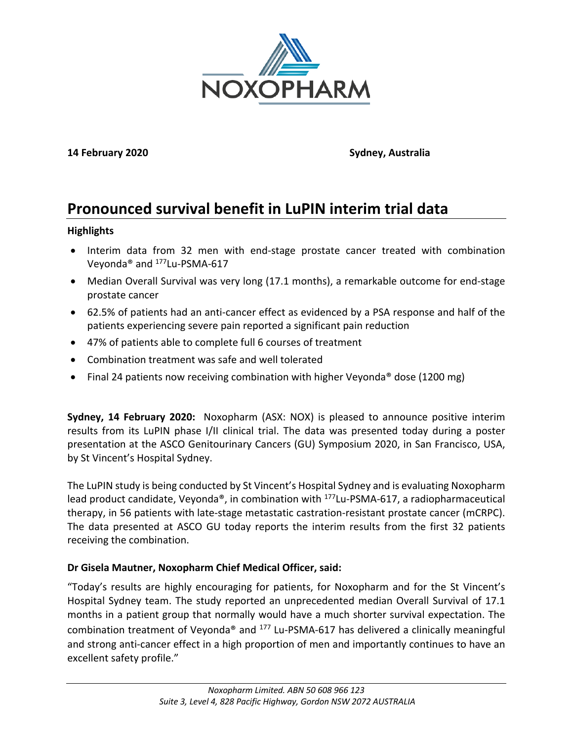

**14 February 2020 Sydney, Australia**

# **Pronounced survival benefit in LuPIN interim trial data**

### **Highlights**

- Interim data from 32 men with end-stage prostate cancer treated with combination Veyonda® and 177Lu-PSMA-617
- Median Overall Survival was very long (17.1 months), a remarkable outcome for end-stage prostate cancer
- 62.5% of patients had an anti-cancer effect as evidenced by a PSA response and half of the patients experiencing severe pain reported a significant pain reduction
- 47% of patients able to complete full 6 courses of treatment
- Combination treatment was safe and well tolerated
- Final 24 patients now receiving combination with higher Veyonda<sup>®</sup> dose (1200 mg)

**Sydney, 14 February 2020:** Noxopharm (ASX: NOX) is pleased to announce positive interim results from its LuPIN phase I/II clinical trial. The data was presented today during a poster presentation at the ASCO Genitourinary Cancers (GU) Symposium 2020, in San Francisco, USA, by St Vincent's Hospital Sydney.

The LuPIN study is being conducted by St Vincent's Hospital Sydney and is evaluating Noxopharm lead product candidate, Veyonda®, in combination with <sup>177</sup>Lu-PSMA-617, a radiopharmaceutical therapy, in 56 patients with late-stage metastatic castration-resistant prostate cancer (mCRPC). The data presented at ASCO GU today reports the interim results from the first 32 patients receiving the combination.

# **Dr Gisela Mautner, Noxopharm Chief Medical Officer, said:**

"Today's results are highly encouraging for patients, for Noxopharm and for the St Vincent's Hospital Sydney team. The study reported an unprecedented median Overall Survival of 17.1 months in a patient group that normally would have a much shorter survival expectation. The combination treatment of Veyonda® and 177 Lu-PSMA-617 has delivered a clinically meaningful and strong anti-cancer effect in a high proportion of men and importantly continues to have an excellent safety profile."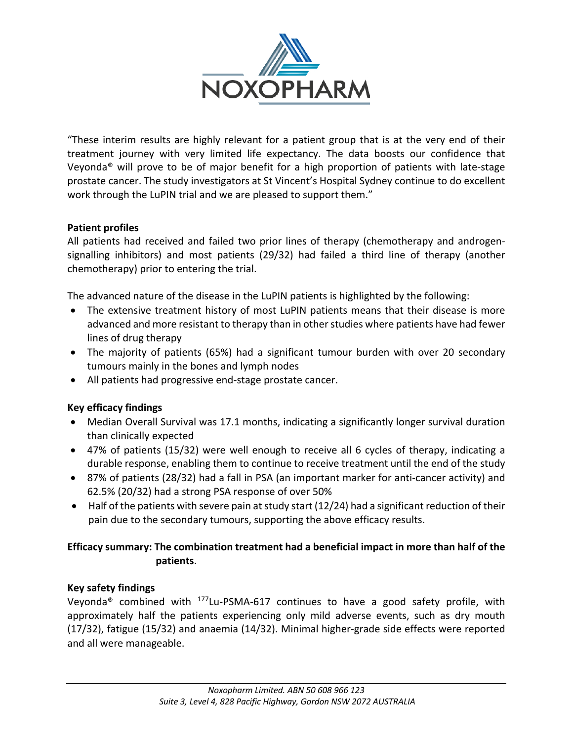

"These interim results are highly relevant for a patient group that is at the very end of their treatment journey with very limited life expectancy. The data boosts our confidence that Veyonda® will prove to be of major benefit for a high proportion of patients with late-stage prostate cancer. The study investigators at St Vincent's Hospital Sydney continue to do excellent work through the LuPIN trial and we are pleased to support them."

# **Patient profiles**

All patients had received and failed two prior lines of therapy (chemotherapy and androgensignalling inhibitors) and most patients (29/32) had failed a third line of therapy (another chemotherapy) prior to entering the trial.

The advanced nature of the disease in the LuPIN patients is highlighted by the following:

- The extensive treatment history of most LuPIN patients means that their disease is more advanced and more resistant to therapy than in other studies where patients have had fewer lines of drug therapy
- The majority of patients (65%) had a significant tumour burden with over 20 secondary tumours mainly in the bones and lymph nodes
- All patients had progressive end-stage prostate cancer.

# **Key efficacy findings**

- Median Overall Survival was 17.1 months, indicating a significantly longer survival duration than clinically expected
- 47% of patients (15/32) were well enough to receive all 6 cycles of therapy, indicating a durable response, enabling them to continue to receive treatment until the end of the study
- 87% of patients (28/32) had a fall in PSA (an important marker for anti-cancer activity) and 62.5% (20/32) had a strong PSA response of over 50%
- Half of the patients with severe pain at study start (12/24) had a significant reduction of their pain due to the secondary tumours, supporting the above efficacy results.

# **Efficacy summary: The combination treatment had a beneficial impact in more than half of the patients**.

# **Key safety findings**

Veyonda<sup>®</sup> combined with  $177$ Lu-PSMA-617 continues to have a good safety profile, with approximately half the patients experiencing only mild adverse events, such as dry mouth (17/32), fatigue (15/32) and anaemia (14/32). Minimal higher-grade side effects were reported and all were manageable.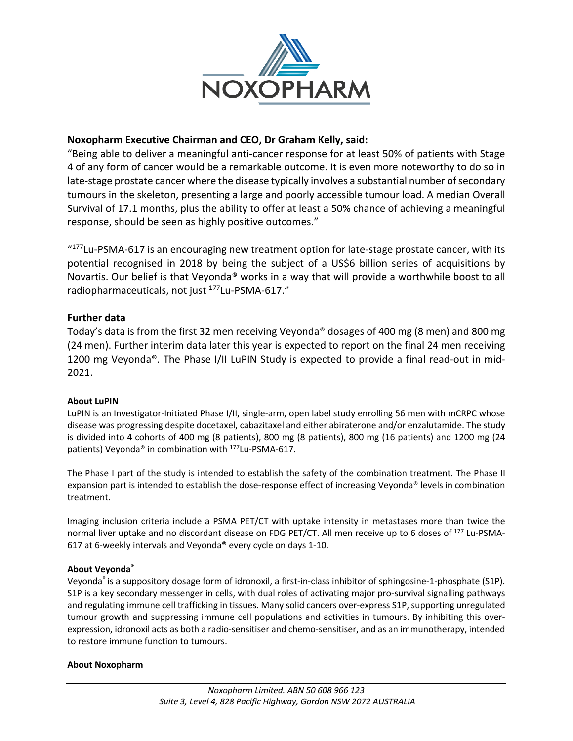

#### **Noxopharm Executive Chairman and CEO, Dr Graham Kelly, said:**

"Being able to deliver a meaningful anti-cancer response for at least 50% of patients with Stage 4 of any form of cancer would be a remarkable outcome. It is even more noteworthy to do so in late-stage prostate cancer where the disease typically involves a substantial number of secondary tumours in the skeleton, presenting a large and poorly accessible tumour load. A median Overall Survival of 17.1 months, plus the ability to offer at least a 50% chance of achieving a meaningful response, should be seen as highly positive outcomes."

"<sup>177</sup>Lu-PSMA-617 is an encouraging new treatment option for late-stage prostate cancer, with its potential recognised in 2018 by being the subject of a US\$6 billion series of acquisitions by Novartis. Our belief is that Veyonda® works in a way that will provide a worthwhile boost to all radiopharmaceuticals, not just 177Lu-PSMA-617."

#### **Further data**

Today's data is from the first 32 men receiving Veyonda® dosages of 400 mg (8 men) and 800 mg (24 men). Further interim data later this year is expected to report on the final 24 men receiving 1200 mg Veyonda®. The Phase I/II LuPIN Study is expected to provide a final read-out in mid-2021.

#### **About LuPIN**

LuPIN is an Investigator-Initiated Phase I/II, single-arm, open label study enrolling 56 men with mCRPC whose disease was progressing despite docetaxel, cabazitaxel and either abiraterone and/or enzalutamide. The study is divided into 4 cohorts of 400 mg (8 patients), 800 mg (8 patients), 800 mg (16 patients) and 1200 mg (24 patients) Veyonda® in combination with 177Lu-PSMA-617.

The Phase I part of the study is intended to establish the safety of the combination treatment. The Phase II expansion part is intended to establish the dose-response effect of increasing Veyonda® levels in combination treatment.

Imaging inclusion criteria include a PSMA PET/CT with uptake intensity in metastases more than twice the normal liver uptake and no discordant disease on FDG PET/CT. All men receive up to 6 doses of <sup>177</sup> Lu-PSMA-617 at 6-weekly intervals and Veyonda® every cycle on days 1-10.

#### **About Veyonda®**

Veyonda® is a suppository dosage form of idronoxil, a first-in-class inhibitor of sphingosine-1-phosphate (S1P). S1P is a key secondary messenger in cells, with dual roles of activating major pro-survival signalling pathways and regulating immune cell trafficking in tissues. Many solid cancers over-express S1P, supporting unregulated tumour growth and suppressing immune cell populations and activities in tumours. By inhibiting this overexpression, idronoxil acts as both a radio-sensitiser and chemo-sensitiser, and as an immunotherapy, intended to restore immune function to tumours.

#### **About Noxopharm**